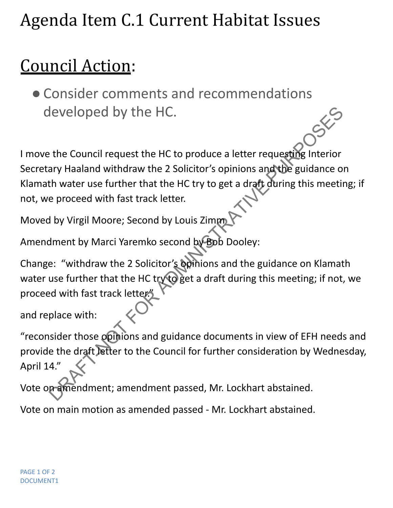## Agenda Item C.1 Current Habitat Issues

## Council Action:

●Consider comments and recommendations developed by the HC.

I move the Council request the HC to produce a letter requesting Interior Secretary Haaland withdraw the 2 Solicitor's opinions and the guidance on Klamath water use further that the HC try to get a draft during this meeting; if not, we proceed with fast track letter. developed by the HC.<br>
the Council request the HC to produce a letter requesting interior<br>
developed with draw the 2 Solicitor's opinions and the guidance of<br>
th water use further that the HC try to get a draft during this

Moved by Virgil Moore; Second by Louis Zimm

Amendment by Marci Yaremko second by Bob Dooley:

Change: "withdraw the 2 Solicitor's opinions and the guidance on Klamath water use further that the HC try to get a draft during this meeting; if not, we proceed with fast track letter."

and replace with:

"reconsider those opinions and guidance documents in view of EFH needs and provide the draft letter to the Council for further consideration by Wednesday, April 14."

Vote on amendment; amendment passed, Mr. Lockhart abstained.

Vote on main motion as amended passed - Mr. Lockhart abstained.